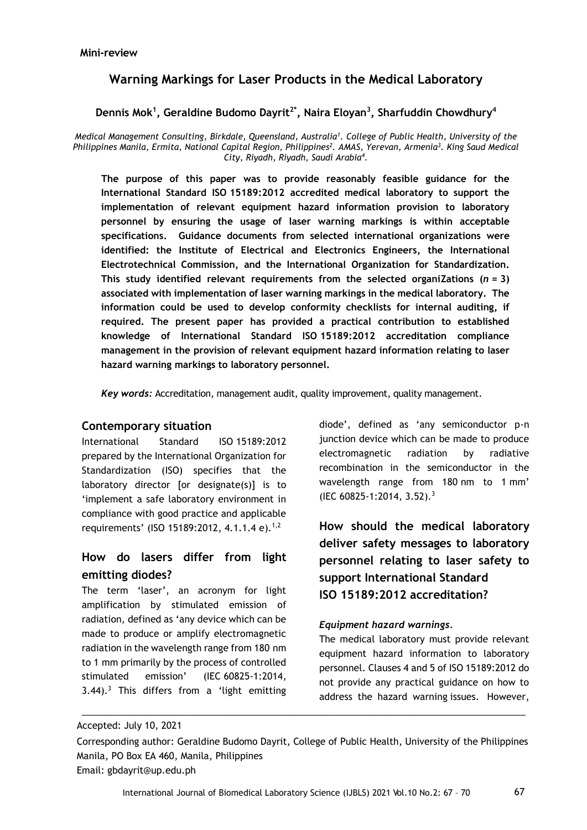## **Warning Markings for Laser Products in the Medical Laboratory**

**Dennis Mok<sup>1</sup> , Geraldine Budomo Dayrit2\* , Naira Eloyan<sup>3</sup> , Sharfuddin Chowdhury<sup>4</sup>**

*Medical Management Consulting, Birkdale, Queensland, Australia<sup>1</sup> . College of Public Health, University of the Philippines Manila, Ermita, National Capital Region, Philippines<sup>2</sup> . AMAS, Yerevan, Armenia<sup>3</sup> . King Saud Medical City, Riyadh, Riyadh, Saudi Arabia<sup>4</sup> .*

**The purpose of this paper was to provide reasonably feasible guidance for the International Standard ISO 15189:2012 accredited medical laboratory to support the implementation of relevant equipment hazard information provision to laboratory personnel by ensuring the usage of laser warning markings is within acceptable specifications. Guidance documents from selected international organizations were identified: the Institute of Electrical and Electronics Engineers, the International Electrotechnical Commission, and the International Organization for Standardization. This study identified relevant requirements from the selected organiZations (***n* **= 3) associated with implementation of laser warning markings in the medical laboratory. The information could be used to develop conformity checklists for internal auditing, if required. The present paper has provided a practical contribution to established knowledge of International Standard ISO 15189:2012 accreditation compliance management in the provision of relevant equipment hazard information relating to laser hazard warning markings to laboratory personnel.** 

*Key words:* Accreditation, management audit, quality improvement, quality management.

### **Contemporary situation**

International Standard ISO 15189:2012 prepared by the International Organization for Standardization (ISO) specifies that the laboratory director [or designate(s)] is to 'implement a safe laboratory environment in compliance with good practice and applicable requirements' (ISO 15189:2012, 4.1.1.4 e).<sup>1,2</sup>

## **How do lasers differ from light emitting diodes?**

The term 'laser', an acronym for light amplification by stimulated emission of radiation, defined as 'any device which can be made to produce or amplify electromagnetic radiation in the wavelength range from 180 nm to 1 mm primarily by the process of controlled stimulated emission' (IEC 60825-1:2014,  $3.44$ ).<sup>3</sup> This differs from a 'light emitting diode', defined as 'any semiconductor p-n junction device which can be made to produce electromagnetic radiation by radiative recombination in the semiconductor in the wavelength range from 180 nm to 1 mm' (IEC 60825-1:2014, 3.52).<sup>3</sup>

**How should the medical laboratory deliver safety messages to laboratory personnel relating to laser safety to support International Standard ISO 15189:2012 accreditation?**

### *Equipment hazard warnings.*

The medical laboratory must provide relevant equipment hazard information to laboratory personnel. Clauses 4 and 5 of ISO 15189:2012 do not provide any practical guidance on how to address the hazard warning issues. However,

\_\_\_\_\_\_\_\_\_\_\_\_\_\_\_\_\_\_\_\_\_\_\_\_\_\_\_\_\_\_\_\_\_\_\_\_\_\_\_\_\_\_\_\_\_\_\_\_\_\_\_\_\_\_\_\_\_\_\_\_\_\_\_\_\_\_\_\_\_\_\_\_\_\_\_\_\_\_\_\_\_\_\_\_\_\_

Accepted: July 10, 2021

Corresponding author: Geraldine Budomo Dayrit, College of Public Health, University of the Philippines Manila, PO Box EA 460, Manila, Philippines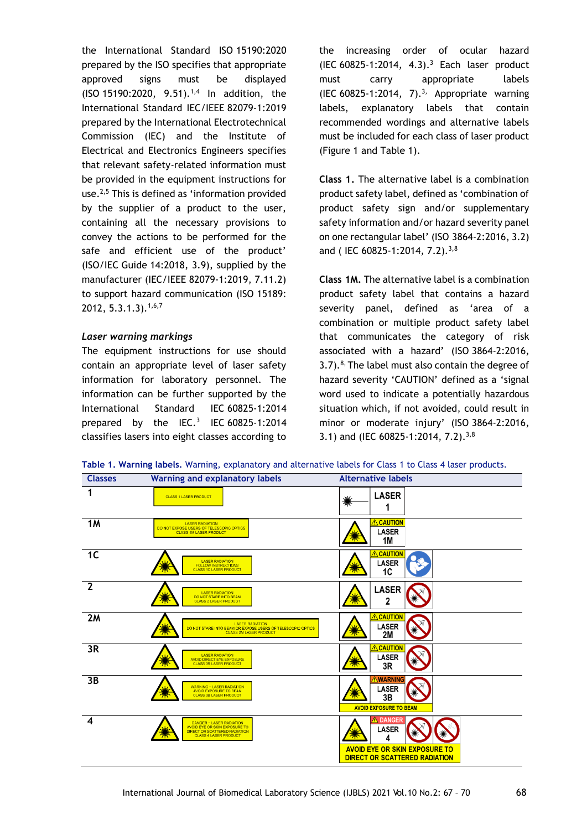the International Standard ISO 15190:2020 prepared by the ISO specifies that appropriate approved signs must be displayed  $(ISO 15190:2020, 9.51).$ <sup>1,4</sup> In addition, the International Standard IEC/IEEE 82079-1:2019 prepared by the International Electrotechnical Commission (IEC) and the Institute of Electrical and Electronics Engineers specifies that relevant safety-related information must be provided in the equipment instructions for use.<sup>2,5</sup> This is defined as 'information provided by the supplier of a product to the user, containing all the necessary provisions to convey the actions to be performed for the safe and efficient use of the product' (ISO/IEC Guide 14:2018, 3.9), supplied by the manufacturer (IEC/IEEE 82079-1:2019, 7.11.2) to support hazard communication (ISO 15189: 2012, 5.3.1.3).1,6,7

#### *Laser warning markings*

The equipment instructions for use should contain an appropriate level of laser safety information for laboratory personnel. The information can be further supported by the International Standard IEC 60825-1:2014 prepared by the IEC.<sup>3</sup> IEC 60825-1:2014 classifies lasers into eight classes according to

the increasing order of ocular hazard (IEC 60825-1:2014, 4.3).<sup>3</sup> Each laser product must carry appropriate labels (IEC 60825-1:2014, 7).<sup>3,</sup> Appropriate warning labels, explanatory labels that contain recommended wordings and alternative labels must be included for each class of laser product (Figure 1 and Table 1).

**Class 1.** The alternative label is a combination product safety label, defined as 'combination of product safety sign and/or supplementary safety information and/or hazard severity panel on one rectangular label' (ISO 3864-2:2016, 3.2) and ( IEC 60825-1:2014, 7.2).<sup>3,8</sup>

**Class 1M.** The alternative label is a combination product safety label that contains a hazard severity panel, defined as 'area of a combination or multiple product safety label that communicates the category of risk associated with a hazard' (ISO 3864-2:2016,  $3.7$ ).<sup>8,</sup> The label must also contain the degree of hazard severity 'CAUTION' defined as a 'signal word used to indicate a potentially hazardous situation which, if not avoided, could result in minor or moderate injury' (ISO 3864-2:2016, 3.1) and (IEC 60825-1:2014, 7.2).<sup>3,8</sup>

**Table 1. Warning labels.** Warning, explanatory and alternative labels for Class 1 to Class 4 laser products.

| <b>Classes</b>   | <b>Warning and explanatory labels</b>                                                                                                    | <b>Alternative labels</b>                                                                                          |
|------------------|------------------------------------------------------------------------------------------------------------------------------------------|--------------------------------------------------------------------------------------------------------------------|
| 1                | <b>CLASS 1 LASER PRODUCT</b>                                                                                                             | <b>LASER</b><br>''<br>1                                                                                            |
| 1M               | <b>LASER RADIATION</b><br>DO NOT EXPOSE USERS OF TELESCOPIC OPTICS<br><b>CLASS 1M LASER PRODUCT</b>                                      | <b>ACAUTION</b><br><b>LASER</b><br>1M                                                                              |
| 1 <sub>C</sub>   | <b>LASER RADIATION</b><br><b>FOLLOW INSTRUCTIONS</b><br><b>CLASS 1C LASER PRODUCT</b>                                                    | CAUTION<br>∧<br><b>LASER</b><br>1C                                                                                 |
| $\overline{2}$   | <b>LASER RADIATION</b><br>DO NOT STARE INTO BEAM<br><b>CLASS 2 LASER PRODUCT</b>                                                         | <b>LASER</b><br>2                                                                                                  |
| 2M               | <b>LASER RADIATION</b><br>DO NOT STARE INTO BEAM OR EXPOSE USERS OF TELESCOPIC OPTICS<br><b>CLASS 2M LASER PRODUCT</b>                   | <b>ACAUTION</b><br><b>LASER</b><br>2M                                                                              |
| 3R               | <b>LASER RADIATION</b><br><b>AVOID DIRECT EYE EXPOSURE</b><br><b>CLASS 3R LASER PRODUCT</b>                                              | <b>CAUTION</b><br>∕∿<br><b>LASER</b><br>3R                                                                         |
| 3B               | <b>WARNING - LASER RADIATION</b><br>AVOID EXPOSURE TO BEAM<br><b>CLASS 3B LASER PRODUCT</b>                                              | <b>WARNING</b><br><b>LASER</b><br>3B<br>77N<br><b>AVOID EXPOSURE TO BEAM</b>                                       |
| $\boldsymbol{4}$ | <b>DANGER - LASER RADIATION</b><br><b>AVOID EYE OR SKIN EXPOSURE TO</b><br>DIRECT OR SCATTERED RADIATION<br><b>CLASS 4 LASER PRODUCT</b> | <b>DANGER</b><br><b>LASER</b><br>Δ<br><b>AVOID EYE OR SKIN EXPOSURE TO</b><br><b>DIRECT OR SCATTERED RADIATION</b> |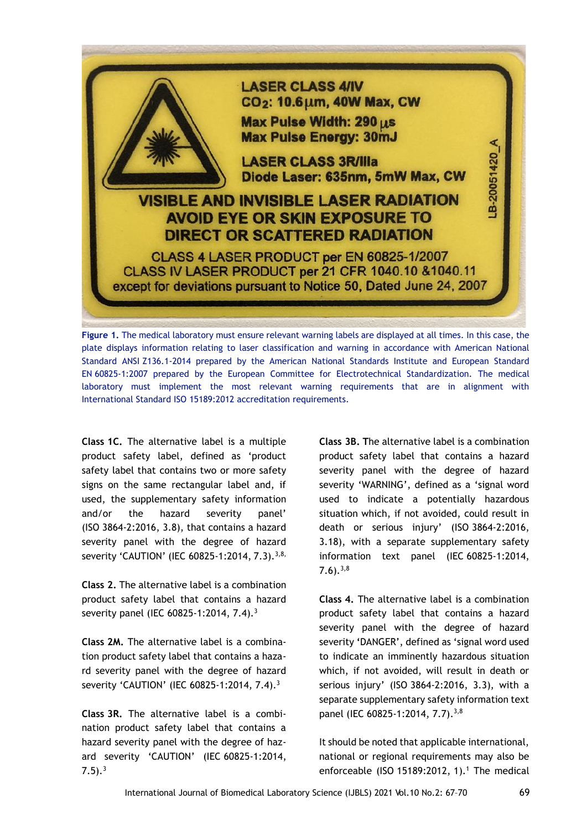

**Figure 1.** The medical laboratory must ensure relevant warning labels are displayed at all times. In this case, the plate displays information relating to laser classification and warning in accordance with American National Standard ANSI Z136.1-2014 prepared by the American National Standards Institute and European Standard EN 60825-1:2007 prepared by the European Committee for Electrotechnical Standardization. The medical laboratory must implement the most relevant warning requirements that are in alignment with International Standard ISO 15189:2012 accreditation requirements.

**Class 1C.** The alternative label is a multiple product safety label, defined as 'product safety label that contains two or more safety signs on the same rectangular label and, if used, the supplementary safety information and/or the hazard severity panel' (ISO 3864-2:2016, 3.8), that contains a hazard severity panel with the degree of hazard severity 'CAUTION' (IEC 60825-1:2014, 7.3).<sup>3,8,</sup>

**Class 2.** The alternative label is a combination product safety label that contains a hazard severity panel (IEC 60825-1:2014, 7.4).<sup>3</sup>

**Class 2M.** The alternative label is a combination product safety label that contains a hazard severity panel with the degree of hazard severity 'CAUTION' (IEC 60825-1:2014, 7.4).<sup>3</sup>

**Class 3R.** The alternative label is a combination product safety label that contains a hazard severity panel with the degree of hazard severity 'CAUTION' (IEC 60825-1:2014,  $7.5$ ).<sup>3</sup>

**Class 3B. T**he alternative label is a combination product safety label that contains a hazard severity panel with the degree of hazard severity 'WARNING', defined as a 'signal word used to indicate a potentially hazardous situation which, if not avoided, could result in death or serious injury' (ISO 3864-2:2016, 3.18), with a separate supplementary safety information text panel (IEC 60825-1:2014,  $7.6$ ).  $3,8$ 

**Class 4.** The alternative label is a combination product safety label that contains a hazard severity panel with the degree of hazard severity **'**DANGER', defined as 'signal word used to indicate an imminently hazardous situation which, if not avoided, will result in death or serious injury' (ISO 3864-2:2016, 3.3), with a separate supplementary safety information text panel (IEC 60825-1:2014, 7.7).<sup>3,8</sup>

It should be noted that applicable international, national or regional requirements may also be enforceable (ISO 15189:2012, 1).<sup>1</sup> The medical